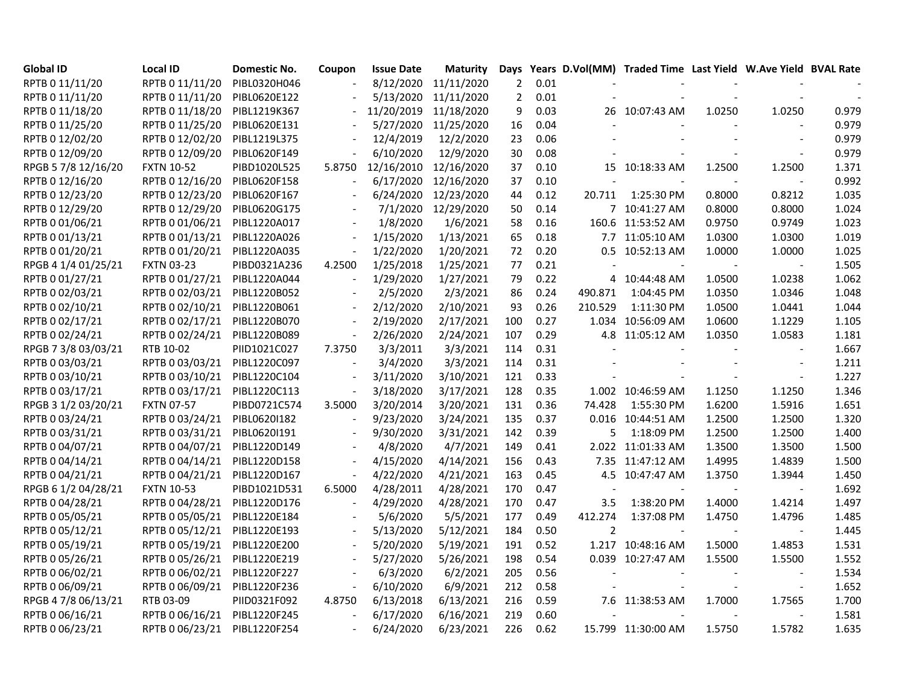| <b>Global ID</b>    | <b>Local ID</b>   | <b>Domestic No.</b> | Coupon                   | <b>Issue Date</b> | <b>Maturity</b> | Days           |      |                          | Years D.Vol(MM) Traded Time Last Yield W.Ave Yield BVAL Rate |                          |                          |       |
|---------------------|-------------------|---------------------|--------------------------|-------------------|-----------------|----------------|------|--------------------------|--------------------------------------------------------------|--------------------------|--------------------------|-------|
| RPTB 0 11/11/20     | RPTB 0 11/11/20   | PIBL0320H046        |                          | 8/12/2020         | 11/11/2020      | $\overline{2}$ | 0.01 |                          |                                                              |                          |                          |       |
| RPTB 0 11/11/20     | RPTB 0 11/11/20   | PIBL0620E122        |                          | 5/13/2020         | 11/11/2020      | $\overline{2}$ | 0.01 |                          |                                                              |                          |                          |       |
| RPTB 0 11/18/20     | RPTB 0 11/18/20   | PIBL1219K367        |                          | 11/20/2019        | 11/18/2020      | 9              | 0.03 |                          | 26 10:07:43 AM                                               | 1.0250                   | 1.0250                   | 0.979 |
| RPTB 0 11/25/20     | RPTB 0 11/25/20   | PIBL0620E131        |                          | 5/27/2020         | 11/25/2020      | 16             | 0.04 |                          |                                                              |                          |                          | 0.979 |
| RPTB 0 12/02/20     | RPTB 0 12/02/20   | PIBL1219L375        |                          | 12/4/2019         | 12/2/2020       | 23             | 0.06 |                          |                                                              |                          |                          | 0.979 |
| RPTB 0 12/09/20     | RPTB 0 12/09/20   | PIBL0620F149        |                          | 6/10/2020         | 12/9/2020       | 30             | 0.08 |                          |                                                              |                          |                          | 0.979 |
| RPGB 5 7/8 12/16/20 | <b>FXTN 10-52</b> | PIBD1020L525        | 5.8750                   | 12/16/2010        | 12/16/2020      | 37             | 0.10 |                          | 15 10:18:33 AM                                               | 1.2500                   | 1.2500                   | 1.371 |
| RPTB 0 12/16/20     | RPTB 0 12/16/20   | PIBL0620F158        |                          | 6/17/2020         | 12/16/2020      | 37             | 0.10 |                          |                                                              |                          |                          | 0.992 |
| RPTB 0 12/23/20     | RPTB 0 12/23/20   | PIBL0620F167        |                          | 6/24/2020         | 12/23/2020      | 44             | 0.12 | 20.711                   | 1:25:30 PM                                                   | 0.8000                   | 0.8212                   | 1.035 |
| RPTB 0 12/29/20     | RPTB 0 12/29/20   | PIBL0620G175        |                          | 7/1/2020          | 12/29/2020      | 50             | 0.14 |                          | 7 10:41:27 AM                                                | 0.8000                   | 0.8000                   | 1.024 |
| RPTB 0 01/06/21     | RPTB 0 01/06/21   | PIBL1220A017        |                          | 1/8/2020          | 1/6/2021        | 58             | 0.16 |                          | 160.6 11:53:52 AM                                            | 0.9750                   | 0.9749                   | 1.023 |
| RPTB 0 01/13/21     | RPTB 0 01/13/21   | PIBL1220A026        |                          | 1/15/2020         | 1/13/2021       | 65             | 0.18 |                          | 7.7 11:05:10 AM                                              | 1.0300                   | 1.0300                   | 1.019 |
| RPTB 0 01/20/21     | RPTB 0 01/20/21   | PIBL1220A035        |                          | 1/22/2020         | 1/20/2021       | 72             | 0.20 |                          | 0.5 10:52:13 AM                                              | 1.0000                   | 1.0000                   | 1.025 |
| RPGB 4 1/4 01/25/21 | <b>FXTN 03-23</b> | PIBD0321A236        | 4.2500                   | 1/25/2018         | 1/25/2021       | 77             | 0.21 |                          |                                                              |                          |                          | 1.505 |
| RPTB 0 01/27/21     | RPTB 0 01/27/21   | PIBL1220A044        |                          | 1/29/2020         | 1/27/2021       | 79             | 0.22 |                          | 4 10:44:48 AM                                                | 1.0500                   | 1.0238                   | 1.062 |
| RPTB 0 02/03/21     | RPTB 0 02/03/21   | PIBL1220B052        |                          | 2/5/2020          | 2/3/2021        | 86             | 0.24 | 490.871                  | 1:04:45 PM                                                   | 1.0350                   | 1.0346                   | 1.048 |
| RPTB 0 02/10/21     | RPTB 0 02/10/21   | PIBL1220B061        | $\sim$                   | 2/12/2020         | 2/10/2021       | 93             | 0.26 | 210.529                  | 1:11:30 PM                                                   | 1.0500                   | 1.0441                   | 1.044 |
| RPTB 0 02/17/21     | RPTB 0 02/17/21   | PIBL1220B070        |                          | 2/19/2020         | 2/17/2021       | 100            | 0.27 |                          | 1.034 10:56:09 AM                                            | 1.0600                   | 1.1229                   | 1.105 |
| RPTB 0 02/24/21     | RPTB 0 02/24/21   | PIBL1220B089        |                          | 2/26/2020         | 2/24/2021       | 107            | 0.29 |                          | 4.8 11:05:12 AM                                              | 1.0350                   | 1.0583                   | 1.181 |
| RPGB 7 3/8 03/03/21 | RTB 10-02         | PIID1021C027        | 7.3750                   | 3/3/2011          | 3/3/2021        | 114            | 0.31 |                          |                                                              |                          |                          | 1.667 |
| RPTB 0 03/03/21     | RPTB 0 03/03/21   | PIBL1220C097        |                          | 3/4/2020          | 3/3/2021        | 114            | 0.31 |                          |                                                              |                          | $\overline{\phantom{a}}$ | 1.211 |
| RPTB 0 03/10/21     | RPTB 0 03/10/21   | PIBL1220C104        |                          | 3/11/2020         | 3/10/2021       | 121            | 0.33 |                          |                                                              |                          | $\blacksquare$           | 1.227 |
| RPTB 0 03/17/21     | RPTB 0 03/17/21   | PIBL1220C113        |                          | 3/18/2020         | 3/17/2021       | 128            | 0.35 |                          | 1.002 10:46:59 AM                                            | 1.1250                   | 1.1250                   | 1.346 |
| RPGB 3 1/2 03/20/21 | <b>FXTN 07-57</b> | PIBD0721C574        | 3.5000                   | 3/20/2014         | 3/20/2021       | 131            | 0.36 | 74.428                   | 1:55:30 PM                                                   | 1.6200                   | 1.5916                   | 1.651 |
| RPTB 0 03/24/21     | RPTB 0 03/24/21   | PIBL06201182        |                          | 9/23/2020         | 3/24/2021       | 135            | 0.37 |                          | 0.016 10:44:51 AM                                            | 1.2500                   | 1.2500                   | 1.320 |
| RPTB 0 03/31/21     | RPTB 0 03/31/21   | PIBL06201191        | $\overline{\phantom{a}}$ | 9/30/2020         | 3/31/2021       | 142            | 0.39 | 5                        | 1:18:09 PM                                                   | 1.2500                   | 1.2500                   | 1.400 |
| RPTB 0 04/07/21     | RPTB 0 04/07/21   | PIBL1220D149        |                          | 4/8/2020          | 4/7/2021        | 149            | 0.41 |                          | 2.022 11:01:33 AM                                            | 1.3500                   | 1.3500                   | 1.500 |
| RPTB 0 04/14/21     | RPTB 0 04/14/21   | PIBL1220D158        |                          | 4/15/2020         | 4/14/2021       | 156            | 0.43 |                          | 7.35 11:47:12 AM                                             | 1.4995                   | 1.4839                   | 1.500 |
| RPTB 0 04/21/21     | RPTB 0 04/21/21   | PIBL1220D167        |                          | 4/22/2020         | 4/21/2021       | 163            | 0.45 |                          | 4.5 10:47:47 AM                                              | 1.3750                   | 1.3944                   | 1.450 |
| RPGB 6 1/2 04/28/21 | <b>FXTN 10-53</b> | PIBD1021D531        | 6.5000                   | 4/28/2011         | 4/28/2021       | 170            | 0.47 | $\overline{\phantom{a}}$ |                                                              |                          |                          | 1.692 |
| RPTB 0 04/28/21     | RPTB 0 04/28/21   | PIBL1220D176        |                          | 4/29/2020         | 4/28/2021       | 170            | 0.47 | 3.5                      | 1:38:20 PM                                                   | 1.4000                   | 1.4214                   | 1.497 |
| RPTB 0 05/05/21     | RPTB 0 05/05/21   | PIBL1220E184        |                          | 5/6/2020          | 5/5/2021        | 177            | 0.49 | 412.274                  | 1:37:08 PM                                                   | 1.4750                   | 1.4796                   | 1.485 |
| RPTB 0 05/12/21     | RPTB 0 05/12/21   | PIBL1220E193        |                          | 5/13/2020         | 5/12/2021       | 184            | 0.50 | $\overline{2}$           |                                                              | $\overline{\phantom{a}}$ | $\blacksquare$           | 1.445 |
| RPTB 0 05/19/21     | RPTB 0 05/19/21   | PIBL1220E200        |                          | 5/20/2020         | 5/19/2021       | 191            | 0.52 |                          | 1.217 10:48:16 AM                                            | 1.5000                   | 1.4853                   | 1.531 |
| RPTB 0 05/26/21     | RPTB 0 05/26/21   | PIBL1220E219        |                          | 5/27/2020         | 5/26/2021       | 198            | 0.54 |                          | 0.039 10:27:47 AM                                            | 1.5500                   | 1.5500                   | 1.552 |
| RPTB 0 06/02/21     | RPTB 0 06/02/21   | PIBL1220F227        |                          | 6/3/2020          | 6/2/2021        | 205            | 0.56 |                          |                                                              |                          |                          | 1.534 |
| RPTB 0 06/09/21     | RPTB 0 06/09/21   | PIBL1220F236        |                          | 6/10/2020         | 6/9/2021        | 212            | 0.58 |                          |                                                              |                          | $\sim$                   | 1.652 |
| RPGB 4 7/8 06/13/21 | RTB 03-09         | PIID0321F092        | 4.8750                   | 6/13/2018         | 6/13/2021       | 216            | 0.59 |                          | 7.6 11:38:53 AM                                              | 1.7000                   | 1.7565                   | 1.700 |
| RPTB 0 06/16/21     | RPTB 0 06/16/21   | PIBL1220F245        |                          | 6/17/2020         | 6/16/2021       | 219            | 0.60 |                          |                                                              |                          | $\blacksquare$           | 1.581 |
| RPTB 0 06/23/21     | RPTB 0 06/23/21   | PIBL1220F254        |                          | 6/24/2020         | 6/23/2021       | 226            | 0.62 |                          | 15.799 11:30:00 AM                                           | 1.5750                   | 1.5782                   | 1.635 |
|                     |                   |                     |                          |                   |                 |                |      |                          |                                                              |                          |                          |       |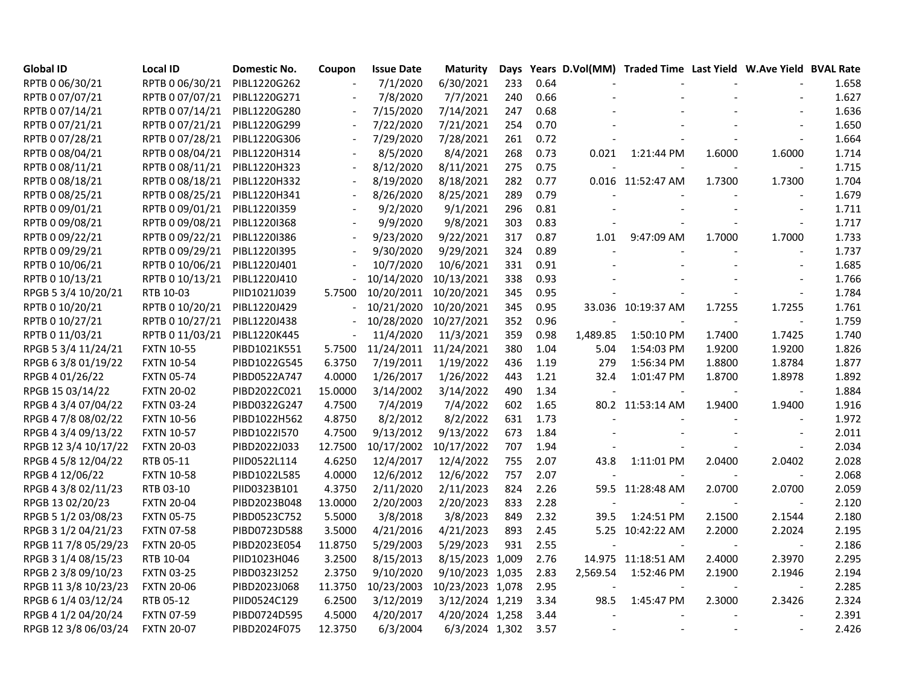| <b>Global ID</b>     | <b>Local ID</b>   | <b>Domestic No.</b> | Coupon                   | <b>Issue Date</b> | <b>Maturity</b>  |     |      |          | Days Years D.Vol(MM) Traded Time Last Yield W.Ave Yield BVAL Rate |        |                |       |
|----------------------|-------------------|---------------------|--------------------------|-------------------|------------------|-----|------|----------|-------------------------------------------------------------------|--------|----------------|-------|
| RPTB 0 06/30/21      | RPTB 0 06/30/21   | PIBL1220G262        |                          | 7/1/2020          | 6/30/2021        | 233 | 0.64 |          |                                                                   |        |                | 1.658 |
| RPTB 0 07/07/21      | RPTB 0 07/07/21   | PIBL1220G271        | $\sim$                   | 7/8/2020          | 7/7/2021         | 240 | 0.66 |          |                                                                   |        |                | 1.627 |
| RPTB 0 07/14/21      | RPTB 0 07/14/21   | PIBL1220G280        |                          | 7/15/2020         | 7/14/2021        | 247 | 0.68 |          |                                                                   |        |                | 1.636 |
| RPTB 0 07/21/21      | RPTB 0 07/21/21   | PIBL1220G299        |                          | 7/22/2020         | 7/21/2021        | 254 | 0.70 |          |                                                                   |        |                | 1.650 |
| RPTB 0 07/28/21      | RPTB 0 07/28/21   | PIBL1220G306        |                          | 7/29/2020         | 7/28/2021        | 261 | 0.72 |          |                                                                   |        |                | 1.664 |
| RPTB 0 08/04/21      | RPTB 0 08/04/21   | PIBL1220H314        |                          | 8/5/2020          | 8/4/2021         | 268 | 0.73 | 0.021    | 1:21:44 PM                                                        | 1.6000 | 1.6000         | 1.714 |
| RPTB 0 08/11/21      | RPTB 0 08/11/21   | PIBL1220H323        | $\overline{\phantom{a}}$ | 8/12/2020         | 8/11/2021        | 275 | 0.75 |          |                                                                   |        | $\sim$         | 1.715 |
| RPTB 0 08/18/21      | RPTB 0 08/18/21   | PIBL1220H332        |                          | 8/19/2020         | 8/18/2021        | 282 | 0.77 |          | 0.016 11:52:47 AM                                                 | 1.7300 | 1.7300         | 1.704 |
| RPTB 0 08/25/21      | RPTB 0 08/25/21   | PIBL1220H341        |                          | 8/26/2020         | 8/25/2021        | 289 | 0.79 |          |                                                                   |        |                | 1.679 |
| RPTB 0 09/01/21      | RPTB 0 09/01/21   | PIBL1220I359        |                          | 9/2/2020          | 9/1/2021         | 296 | 0.81 |          |                                                                   |        |                | 1.711 |
| RPTB 0 09/08/21      | RPTB 0 09/08/21   | PIBL1220I368        | $\sim$                   | 9/9/2020          | 9/8/2021         | 303 | 0.83 |          |                                                                   |        | $\sim$         | 1.717 |
| RPTB 0 09/22/21      | RPTB 0 09/22/21   | PIBL1220I386        |                          | 9/23/2020         | 9/22/2021        | 317 | 0.87 | 1.01     | 9:47:09 AM                                                        | 1.7000 | 1.7000         | 1.733 |
| RPTB 0 09/29/21      | RPTB 0 09/29/21   | PIBL1220I395        |                          | 9/30/2020         | 9/29/2021        | 324 | 0.89 |          |                                                                   | $\sim$ | $\blacksquare$ | 1.737 |
| RPTB 0 10/06/21      | RPTB 0 10/06/21   | PIBL1220J401        |                          | 10/7/2020         | 10/6/2021        | 331 | 0.91 |          |                                                                   |        |                | 1.685 |
| RPTB 0 10/13/21      | RPTB 0 10/13/21   | PIBL1220J410        |                          | 10/14/2020        | 10/13/2021       | 338 | 0.93 |          |                                                                   |        |                | 1.766 |
| RPGB 5 3/4 10/20/21  | RTB 10-03         | PIID1021J039        | 5.7500                   | 10/20/2011        | 10/20/2021       | 345 | 0.95 |          |                                                                   |        | $\blacksquare$ | 1.784 |
| RPTB 0 10/20/21      | RPTB 0 10/20/21   | PIBL1220J429        |                          | 10/21/2020        | 10/20/2021       | 345 | 0.95 |          | 33.036 10:19:37 AM                                                | 1.7255 | 1.7255         | 1.761 |
| RPTB 0 10/27/21      | RPTB 0 10/27/21   | PIBL1220J438        |                          | 10/28/2020        | 10/27/2021       | 352 | 0.96 |          |                                                                   |        |                | 1.759 |
| RPTB 0 11/03/21      | RPTB 0 11/03/21   | PIBL1220K445        |                          | 11/4/2020         | 11/3/2021        | 359 | 0.98 | 1,489.85 | 1:50:10 PM                                                        | 1.7400 | 1.7425         | 1.740 |
| RPGB 5 3/4 11/24/21  | <b>FXTN 10-55</b> | PIBD1021K551        | 5.7500                   | 11/24/2011        | 11/24/2021       | 380 | 1.04 | 5.04     | 1:54:03 PM                                                        | 1.9200 | 1.9200         | 1.826 |
| RPGB 63/8 01/19/22   | <b>FXTN 10-54</b> | PIBD1022G545        | 6.3750                   | 7/19/2011         | 1/19/2022        | 436 | 1.19 | 279      | 1:56:34 PM                                                        | 1.8800 | 1.8784         | 1.877 |
| RPGB 4 01/26/22      | <b>FXTN 05-74</b> | PIBD0522A747        | 4.0000                   | 1/26/2017         | 1/26/2022        | 443 | 1.21 | 32.4     | 1:01:47 PM                                                        | 1.8700 | 1.8978         | 1.892 |
| RPGB 15 03/14/22     | <b>FXTN 20-02</b> | PIBD2022C021        | 15.0000                  | 3/14/2002         | 3/14/2022        | 490 | 1.34 |          |                                                                   |        | $\sim$         | 1.884 |
| RPGB 4 3/4 07/04/22  | <b>FXTN 03-24</b> | PIBD0322G247        | 4.7500                   | 7/4/2019          | 7/4/2022         | 602 | 1.65 |          | 80.2 11:53:14 AM                                                  | 1.9400 | 1.9400         | 1.916 |
| RPGB 4 7/8 08/02/22  | <b>FXTN 10-56</b> | PIBD1022H562        | 4.8750                   | 8/2/2012          | 8/2/2022         | 631 | 1.73 |          |                                                                   |        | $\blacksquare$ | 1.972 |
| RPGB 4 3/4 09/13/22  | <b>FXTN 10-57</b> | PIBD1022I570        | 4.7500                   | 9/13/2012         | 9/13/2022        | 673 | 1.84 |          |                                                                   |        |                | 2.011 |
| RPGB 12 3/4 10/17/22 | <b>FXTN 20-03</b> | PIBD2022J033        | 12.7500                  | 10/17/2002        | 10/17/2022       | 707 | 1.94 |          |                                                                   |        |                | 2.034 |
| RPGB 4 5/8 12/04/22  | RTB 05-11         | PIID0522L114        | 4.6250                   | 12/4/2017         | 12/4/2022        | 755 | 2.07 | 43.8     | 1:11:01 PM                                                        | 2.0400 | 2.0402         | 2.028 |
| RPGB 4 12/06/22      | <b>FXTN 10-58</b> | PIBD1022L585        | 4.0000                   | 12/6/2012         | 12/6/2022        | 757 | 2.07 |          |                                                                   |        |                | 2.068 |
| RPGB 4 3/8 02/11/23  | RTB 03-10         | PIID0323B101        | 4.3750                   | 2/11/2020         | 2/11/2023        | 824 | 2.26 |          | 59.5 11:28:48 AM                                                  | 2.0700 | 2.0700         | 2.059 |
| RPGB 13 02/20/23     | <b>FXTN 20-04</b> | PIBD2023B048        | 13.0000                  | 2/20/2003         | 2/20/2023        | 833 | 2.28 |          |                                                                   |        |                | 2.120 |
| RPGB 5 1/2 03/08/23  | <b>FXTN 05-75</b> | PIBD0523C752        | 5.5000                   | 3/8/2018          | 3/8/2023         | 849 | 2.32 | 39.5     | 1:24:51 PM                                                        | 2.1500 | 2.1544         | 2.180 |
| RPGB 3 1/2 04/21/23  | <b>FXTN 07-58</b> | PIBD0723D588        | 3.5000                   | 4/21/2016         | 4/21/2023        | 893 | 2.45 |          | 5.25 10:42:22 AM                                                  | 2.2000 | 2.2024         | 2.195 |
| RPGB 11 7/8 05/29/23 | <b>FXTN 20-05</b> | PIBD2023E054        | 11.8750                  | 5/29/2003         | 5/29/2023        | 931 | 2.55 |          |                                                                   |        | $\blacksquare$ | 2.186 |
| RPGB 3 1/4 08/15/23  | RTB 10-04         | PIID1023H046        | 3.2500                   | 8/15/2013         | 8/15/2023 1,009  |     | 2.76 |          | 14.975 11:18:51 AM                                                | 2.4000 | 2.3970         | 2.295 |
| RPGB 2 3/8 09/10/23  | <b>FXTN 03-25</b> | PIBD0323I252        | 2.3750                   | 9/10/2020         | 9/10/2023 1,035  |     | 2.83 | 2,569.54 | 1:52:46 PM                                                        | 2.1900 | 2.1946         | 2.194 |
| RPGB 11 3/8 10/23/23 | <b>FXTN 20-06</b> | PIBD2023J068        | 11.3750                  | 10/23/2003        | 10/23/2023 1,078 |     | 2.95 |          |                                                                   |        |                | 2.285 |
| RPGB 6 1/4 03/12/24  | RTB 05-12         | PIID0524C129        | 6.2500                   | 3/12/2019         | 3/12/2024 1,219  |     | 3.34 | 98.5     | 1:45:47 PM                                                        | 2.3000 | 2.3426         | 2.324 |
| RPGB 4 1/2 04/20/24  | <b>FXTN 07-59</b> | PIBD0724D595        | 4.5000                   | 4/20/2017         | 4/20/2024 1,258  |     | 3.44 |          |                                                                   |        |                | 2.391 |
| RPGB 12 3/8 06/03/24 | <b>FXTN 20-07</b> | PIBD2024F075        | 12.3750                  | 6/3/2004          | 6/3/2024 1,302   |     | 3.57 |          |                                                                   |        |                | 2.426 |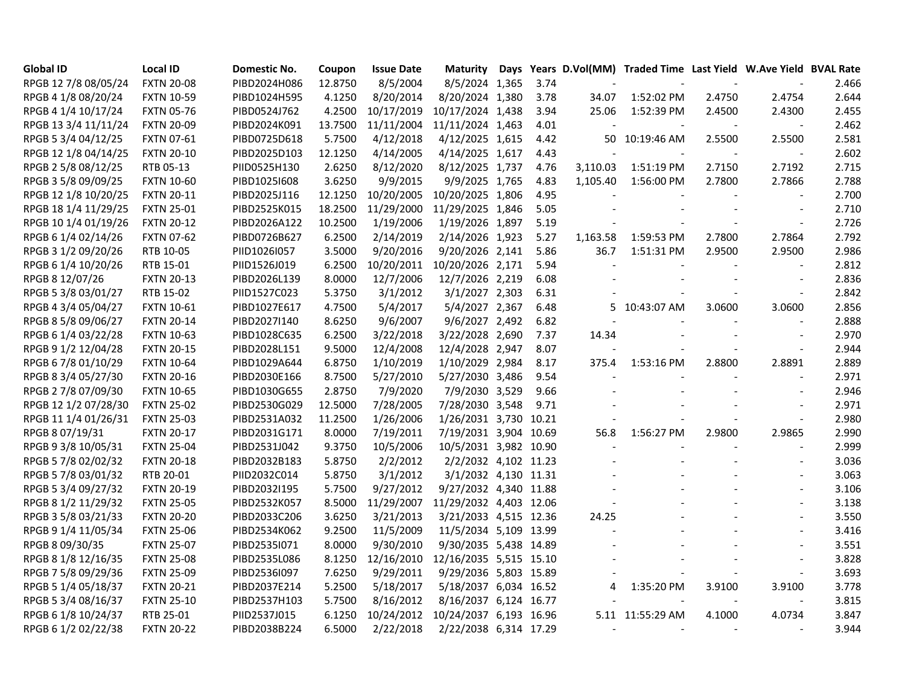| <b>Global ID</b>     | <b>Local ID</b>   | <b>Domestic No.</b> | Coupon  | <b>Issue Date</b> |                        |      |                          | Maturity Days Years D.Vol(MM) Traded Time Last Yield W.Ave Yield BVAL Rate |        |                          |       |
|----------------------|-------------------|---------------------|---------|-------------------|------------------------|------|--------------------------|----------------------------------------------------------------------------|--------|--------------------------|-------|
| RPGB 12 7/8 08/05/24 | <b>FXTN 20-08</b> | PIBD2024H086        | 12.8750 | 8/5/2004          | 8/5/2024 1,365         | 3.74 |                          |                                                                            |        | $\blacksquare$           | 2.466 |
| RPGB 4 1/8 08/20/24  | <b>FXTN 10-59</b> | PIBD1024H595        | 4.1250  | 8/20/2014         | 8/20/2024 1,380        | 3.78 | 34.07                    | 1:52:02 PM                                                                 | 2.4750 | 2.4754                   | 2.644 |
| RPGB 4 1/4 10/17/24  | <b>FXTN 05-76</b> | PIBD0524J762        | 4.2500  | 10/17/2019        | 10/17/2024 1,438       | 3.94 | 25.06                    | 1:52:39 PM                                                                 | 2.4500 | 2.4300                   | 2.455 |
| RPGB 13 3/4 11/11/24 | <b>FXTN 20-09</b> | PIBD2024K091        | 13.7500 | 11/11/2004        | 11/11/2024 1,463       | 4.01 |                          |                                                                            |        |                          | 2.462 |
| RPGB 5 3/4 04/12/25  | <b>FXTN 07-61</b> | PIBD0725D618        | 5.7500  | 4/12/2018         | 4/12/2025 1,615        | 4.42 |                          | 50 10:19:46 AM                                                             | 2.5500 | 2.5500                   | 2.581 |
| RPGB 12 1/8 04/14/25 | <b>FXTN 20-10</b> | PIBD2025D103        | 12.1250 | 4/14/2005         | 4/14/2025 1,617        | 4.43 |                          |                                                                            |        |                          | 2.602 |
| RPGB 2 5/8 08/12/25  | RTB 05-13         | PIID0525H130        | 2.6250  | 8/12/2020         | 8/12/2025 1,737        | 4.76 | 3,110.03                 | 1:51:19 PM                                                                 | 2.7150 | 2.7192                   | 2.715 |
| RPGB 3 5/8 09/09/25  | <b>FXTN 10-60</b> | PIBD1025I608        | 3.6250  | 9/9/2015          | 9/9/2025 1,765         | 4.83 | 1,105.40                 | 1:56:00 PM                                                                 | 2.7800 | 2.7866                   | 2.788 |
| RPGB 12 1/8 10/20/25 | <b>FXTN 20-11</b> | PIBD2025J116        | 12.1250 | 10/20/2005        | 10/20/2025 1,806       | 4.95 |                          |                                                                            |        |                          | 2.700 |
| RPGB 18 1/4 11/29/25 | <b>FXTN 25-01</b> | PIBD2525K015        | 18.2500 | 11/29/2000        | 11/29/2025 1,846       | 5.05 |                          |                                                                            |        |                          | 2.710 |
| RPGB 10 1/4 01/19/26 | <b>FXTN 20-12</b> | PIBD2026A122        | 10.2500 | 1/19/2006         | 1/19/2026 1,897        | 5.19 |                          |                                                                            |        | $\sim$                   | 2.726 |
| RPGB 6 1/4 02/14/26  | <b>FXTN 07-62</b> | PIBD0726B627        | 6.2500  | 2/14/2019         | 2/14/2026 1,923        | 5.27 | 1,163.58                 | 1:59:53 PM                                                                 | 2.7800 | 2.7864                   | 2.792 |
| RPGB 3 1/2 09/20/26  | RTB 10-05         | PIID1026I057        | 3.5000  | 9/20/2016         | 9/20/2026 2,141        | 5.86 | 36.7                     | 1:51:31 PM                                                                 | 2.9500 | 2.9500                   | 2.986 |
| RPGB 6 1/4 10/20/26  | RTB 15-01         | PIID1526J019        | 6.2500  | 10/20/2011        | 10/20/2026 2,171       | 5.94 |                          |                                                                            |        | $\overline{\phantom{a}}$ | 2.812 |
| RPGB 8 12/07/26      | <b>FXTN 20-13</b> | PIBD2026L139        | 8.0000  | 12/7/2006         | 12/7/2026 2,219        | 6.08 |                          |                                                                            |        |                          | 2.836 |
| RPGB 5 3/8 03/01/27  | RTB 15-02         | PIID1527C023        | 5.3750  | 3/1/2012          | 3/1/2027 2,303         | 6.31 |                          |                                                                            |        | $\sim$                   | 2.842 |
| RPGB 4 3/4 05/04/27  | <b>FXTN 10-61</b> | PIBD1027E617        | 4.7500  | 5/4/2017          | 5/4/2027 2,367         | 6.48 | 5.                       | 10:43:07 AM                                                                | 3.0600 | 3.0600                   | 2.856 |
| RPGB 8 5/8 09/06/27  | <b>FXTN 20-14</b> | PIBD2027I140        | 8.6250  | 9/6/2007          | 9/6/2027 2,492         | 6.82 |                          |                                                                            |        | $\sim$                   | 2.888 |
| RPGB 6 1/4 03/22/28  | <b>FXTN 10-63</b> | PIBD1028C635        | 6.2500  | 3/22/2018         | 3/22/2028 2,690        | 7.37 | 14.34                    |                                                                            |        | $\overline{\phantom{a}}$ | 2.970 |
| RPGB 9 1/2 12/04/28  | <b>FXTN 20-15</b> | PIBD2028L151        | 9.5000  | 12/4/2008         | 12/4/2028 2,947        | 8.07 |                          |                                                                            |        | $\sim$                   | 2.944 |
| RPGB 6 7/8 01/10/29  | <b>FXTN 10-64</b> | PIBD1029A644        | 6.8750  | 1/10/2019         | 1/10/2029 2,984        | 8.17 | 375.4                    | 1:53:16 PM                                                                 | 2.8800 | 2.8891                   | 2.889 |
| RPGB 8 3/4 05/27/30  | <b>FXTN 20-16</b> | PIBD2030E166        | 8.7500  | 5/27/2010         | 5/27/2030 3,486        | 9.54 |                          |                                                                            |        | $\sim$                   | 2.971 |
| RPGB 2 7/8 07/09/30  | <b>FXTN 10-65</b> | PIBD1030G655        | 2.8750  | 7/9/2020          | 7/9/2030 3,529         | 9.66 |                          |                                                                            |        |                          | 2.946 |
| RPGB 12 1/2 07/28/30 | <b>FXTN 25-02</b> | PIBD2530G029        | 12.5000 | 7/28/2005         | 7/28/2030 3,548        | 9.71 |                          |                                                                            |        | $\overline{\phantom{a}}$ | 2.971 |
| RPGB 11 1/4 01/26/31 | <b>FXTN 25-03</b> | PIBD2531A032        | 11.2500 | 1/26/2006         | 1/26/2031 3,730 10.21  |      |                          |                                                                            |        | $\blacksquare$           | 2.980 |
| RPGB 8 07/19/31      | <b>FXTN 20-17</b> | PIBD2031G171        | 8.0000  | 7/19/2011         | 7/19/2031 3,904 10.69  |      | 56.8                     | 1:56:27 PM                                                                 | 2.9800 | 2.9865                   | 2.990 |
| RPGB 9 3/8 10/05/31  | <b>FXTN 25-04</b> | PIBD2531J042        | 9.3750  | 10/5/2006         | 10/5/2031 3,982 10.90  |      |                          |                                                                            |        | $\overline{a}$           | 2.999 |
| RPGB 5 7/8 02/02/32  | <b>FXTN 20-18</b> | PIBD2032B183        | 5.8750  | 2/2/2012          | 2/2/2032 4,102 11.23   |      |                          |                                                                            |        | $\overline{\phantom{a}}$ | 3.036 |
| RPGB 5 7/8 03/01/32  | RTB 20-01         | PIID2032C014        | 5.8750  | 3/1/2012          | 3/1/2032 4,130 11.31   |      |                          |                                                                            |        |                          | 3.063 |
| RPGB 5 3/4 09/27/32  | <b>FXTN 20-19</b> | PIBD2032I195        | 5.7500  | 9/27/2012         | 9/27/2032 4,340 11.88  |      |                          |                                                                            |        | $\sim$                   | 3.106 |
| RPGB 8 1/2 11/29/32  | <b>FXTN 25-05</b> | PIBD2532K057        | 8.5000  | 11/29/2007        | 11/29/2032 4,403 12.06 |      |                          |                                                                            |        | $\overline{a}$           | 3.138 |
| RPGB 3 5/8 03/21/33  | <b>FXTN 20-20</b> | PIBD2033C206        | 3.6250  | 3/21/2013         | 3/21/2033 4,515 12.36  |      | 24.25                    |                                                                            |        |                          | 3.550 |
| RPGB 9 1/4 11/05/34  | <b>FXTN 25-06</b> | PIBD2534K062        | 9.2500  | 11/5/2009         | 11/5/2034 5,109 13.99  |      |                          |                                                                            |        |                          | 3.416 |
| RPGB 8 09/30/35      | <b>FXTN 25-07</b> | PIBD2535I071        | 8.0000  | 9/30/2010         | 9/30/2035 5,438 14.89  |      |                          |                                                                            |        |                          | 3.551 |
| RPGB 8 1/8 12/16/35  | <b>FXTN 25-08</b> | PIBD2535L086        | 8.1250  | 12/16/2010        | 12/16/2035 5,515 15.10 |      |                          |                                                                            |        |                          | 3.828 |
| RPGB 7 5/8 09/29/36  | <b>FXTN 25-09</b> | PIBD2536I097        | 7.6250  | 9/29/2011         | 9/29/2036 5,803 15.89  |      |                          |                                                                            |        | $\blacksquare$           | 3.693 |
| RPGB 5 1/4 05/18/37  | <b>FXTN 20-21</b> | PIBD2037E214        | 5.2500  | 5/18/2017         | 5/18/2037 6,034 16.52  |      | 4                        | 1:35:20 PM                                                                 | 3.9100 | 3.9100                   | 3.778 |
| RPGB 5 3/4 08/16/37  | <b>FXTN 25-10</b> | PIBD2537H103        | 5.7500  | 8/16/2012         | 8/16/2037 6,124 16.77  |      |                          |                                                                            |        | $\overline{\phantom{a}}$ | 3.815 |
| RPGB 6 1/8 10/24/37  | RTB 25-01         | PIID2537J015        | 6.1250  | 10/24/2012        | 10/24/2037 6,193 16.96 |      |                          | 5.11 11:55:29 AM                                                           | 4.1000 | 4.0734                   | 3.847 |
| RPGB 6 1/2 02/22/38  | <b>FXTN 20-22</b> | PIBD2038B224        | 6.5000  | 2/22/2018         | 2/22/2038 6,314 17.29  |      | $\overline{\phantom{a}}$ |                                                                            |        |                          | 3.944 |